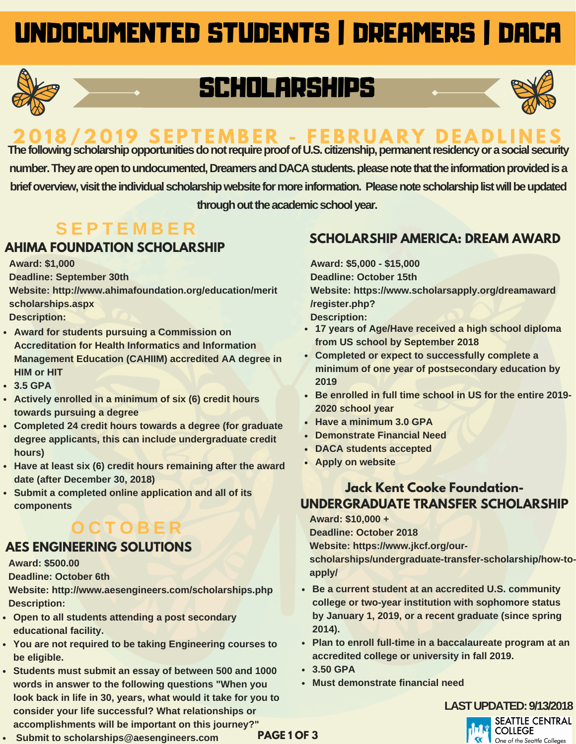# UNDOCUMENTED STUDENTS | DREAMERS | DACA



# SCHOLARSHIPS



# 8/2019 SFPTFMRFR - FFRRUARY

The following scholarship opportunities do not require proof of U.S. citizenship, permanent residency or a social security number. They are open to undocumented, Dreamers and DACA students. please note that the information provided is a brief overview, visit the individual scholarship website for more information. Please note scholarship list will be updated **throughouttheacademicschoolyear.**

## **S E P T E M B E R**

## **AHIMA FOUNDATION SCHOLARSHIP**

**Award: \$1,000**

**Deadline: September 30th**

**Website: http://www.ahimafoundation.org/education/merit scholarships.aspx**

**Description:**

- **Award for students pursuing a Commission on Accreditation for Health Informatics and Information Management Education (CAHIIM) accredited AA degree in HIM or HIT**
- **3.5 GPA**
- **Actively enrolled in a minimum of six (6) credit hours towards pursuing a degree**
- **Completed 24 credit hours towards a degree (for graduate degree applicants, this can include undergraduate credit hours)**
- **Have at least six (6) credit hours remaining after the award date (after December 30, 2018)**
- **Submit a completed online application and all of its components**

## **O C T O B E R**

#### **AES ENGINEERING SOLUTIONS**

**Award: \$500.00**

**Deadline: October 6th**

**Website: http://www.aesengineers.com/scholarships.php Description:**

- **Open to all students attending a post secondary educational facility.**
- **You are not required to be taking Engineering courses to be eligible.**
- **Students must submit an essay of between 500 and 1000 words in answer to the following questions "When you look back in life in 30, years, what would it take for you to consider your life successful? What relationships or accomplishments will be important on this journey?"**

#### **Submit to scholarships@aesengineers.com**

## **SCHOLARSHIP AMERICA: DREAM AWARD**

**Award: \$5,000 - \$15,000 Deadline: October 15th Website: https://www.scholarsapply.org/dreamaward /register.php?**

**Description:**

- **17 years of Age/Have received a high school diploma from US school by September 2018**
- **Completed or expect to successfully complete a minimum of one year of postsecondary education by 2019**
- **Be enrolled in full time school in US for the entire 2019- 2020 school year**
- **Have a minimum 3.0 GPA**
- **Demonstrate Financial Need**
- **DACA students accepted**
- **Apply on website**

### **Jack Kent Cooke Foundation-UNDERGRADUATE TRANSFER SCHOLARSHIP**

**Award: \$10,000 +**

**Deadline: October 2018 Website: https://www.jkcf.org/ourscholarships/undergraduate-transfer-scholarship/how-toapply/**

- **Be a current student at an accredited U.S. community college or two-year institution with sophomore status by January 1, 2019, or a recent graduate (since spring 2014).**
- **Plan to enroll full-time in a baccalaureate program at an accredited college or university in fall 2019.**
- **3.50 GPA**
- **Must demonstrate financial need**

#### **LASTUPDATED:9/13/2018**

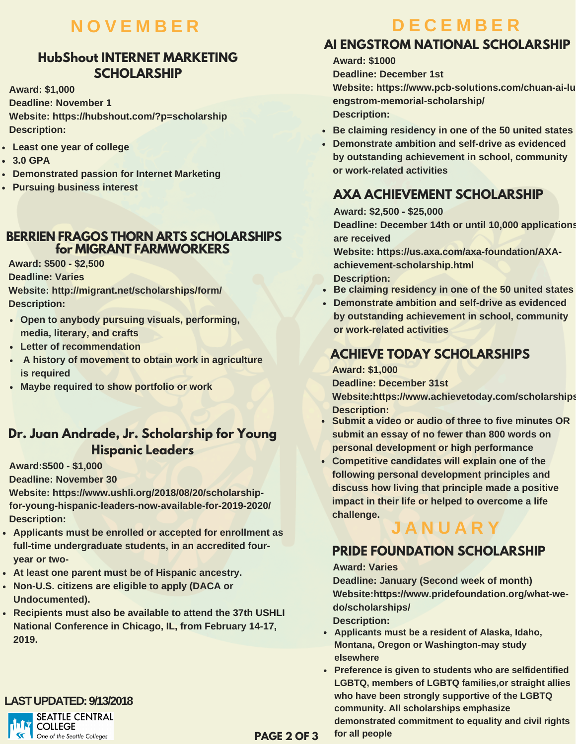## **N O V E M B E R**

### **HubShout INTERNET MARKETING SCHOLARSHIP**

**Award: \$1,000 Deadline: November 1 Website: https://hubshout.com/?p=scholarship Description:**

- **Least one year of college**
- **3.0 GPA**
- **Demonstrated passion for Internet Marketing**
- **Pursuing business interest**

#### **BERRIEN FRAGOS THORN ARTS SCHOLARSHIPS for MIGRANT FARMWORKERS**

**Award: \$500 - \$2,500 Deadline: Varies**

**Website: http://migrant.net/scholarships/form/**

**Description:**

- **Open to anybody pursuing visuals, performing, media, literary, and crafts**
- **Letter of recommendation**
- **A history of movement to obtain work in agriculture is required**
- **Maybe required to show portfolio or work**

#### **Dr. Juan Andrade, Jr. Scholarship for Young Hispanic Leaders**

**Award:\$500 - \$1,000**

**Deadline: November 30**

**Website: https://www.ushli.org/2018/08/20/scholarshipfor-young-hispanic-leaders-now-available-for-2019-2020/ Description:**

- **Applicants must be enrolled or accepted for enrollment as full-time undergraduate students, in an accredited fouryear or two-**
- **At least one parent must be of Hispanic ancestry.**
- **Non-U.S. citizens are eligible to apply (DACA or Undocumented).**
- **Recipients must also be available to attend the 37th USHLI National Conference in Chicago, IL, from February 14-17, 2019.**

## **LASTUPDATED:9/13/2018**



# **D E C E M B E R**

## **AI ENGSTROM NATIONAL SCHOLARSHIP**

**Award: \$1000 Deadline: December 1st Website: https://www.pcb-solutions.com/chuan-ai-lu engstrom-memorial-scholarship/ Description:**

- **Be claiming residency in one of the 50 united states**
- **Demonstrate ambition and self-drive as evidenced by outstanding achievement in school, community or work-related activities**

## **AXA ACHIEVEMENT SCHOLARSHIP**

**Award: \$2,500 - \$25,000**

**Deadline: December 14th or until 10,000 applications are received**

**Website: https://us.axa.com/axa-foundation/AXAachievement-scholarship.html Description:**

- **Be claiming residency in one of the 50 united states**
- **Demonstrate ambition and self-drive as evidenced by outstanding achievement in school, community or work-related activities**

## **ACHIEVE TODAY SCHOLARSHIPS**

**Award: \$1,000 Deadline: December 31st Website:https://www.achievetoday.com/scholarships Description:**

- **Submit a video or audio of three to five minutes OR submit an essay of no fewer than 800 words on personal development or high performance**
- **Competitive candidates will explain one of the following personal development principles and discuss how living that principle made a positive impact in their life or helped to overcome a life challenge.**

## **J A N U A R Y**

## **PRIDE FOUNDATION SCHOLARSHIP**

#### **Award: Varies**

**Deadline: January (Second week of month) Website:https://www.pridefoundation.org/what-wedo/scholarships/**

**Description:**

- **Applicants must be a resident of Alaska, Idaho, Montana, Oregon or Washington-may study elsewhere**
- **Preference is given to students who are selfidentified LGBTQ, members of LGBTQ families,or straight allies who have been strongly supportive of the LGBTQ community. All scholarships emphasize demonstrated commitment to equality and civil rights for all people**

**PAGE 2 OF 3**